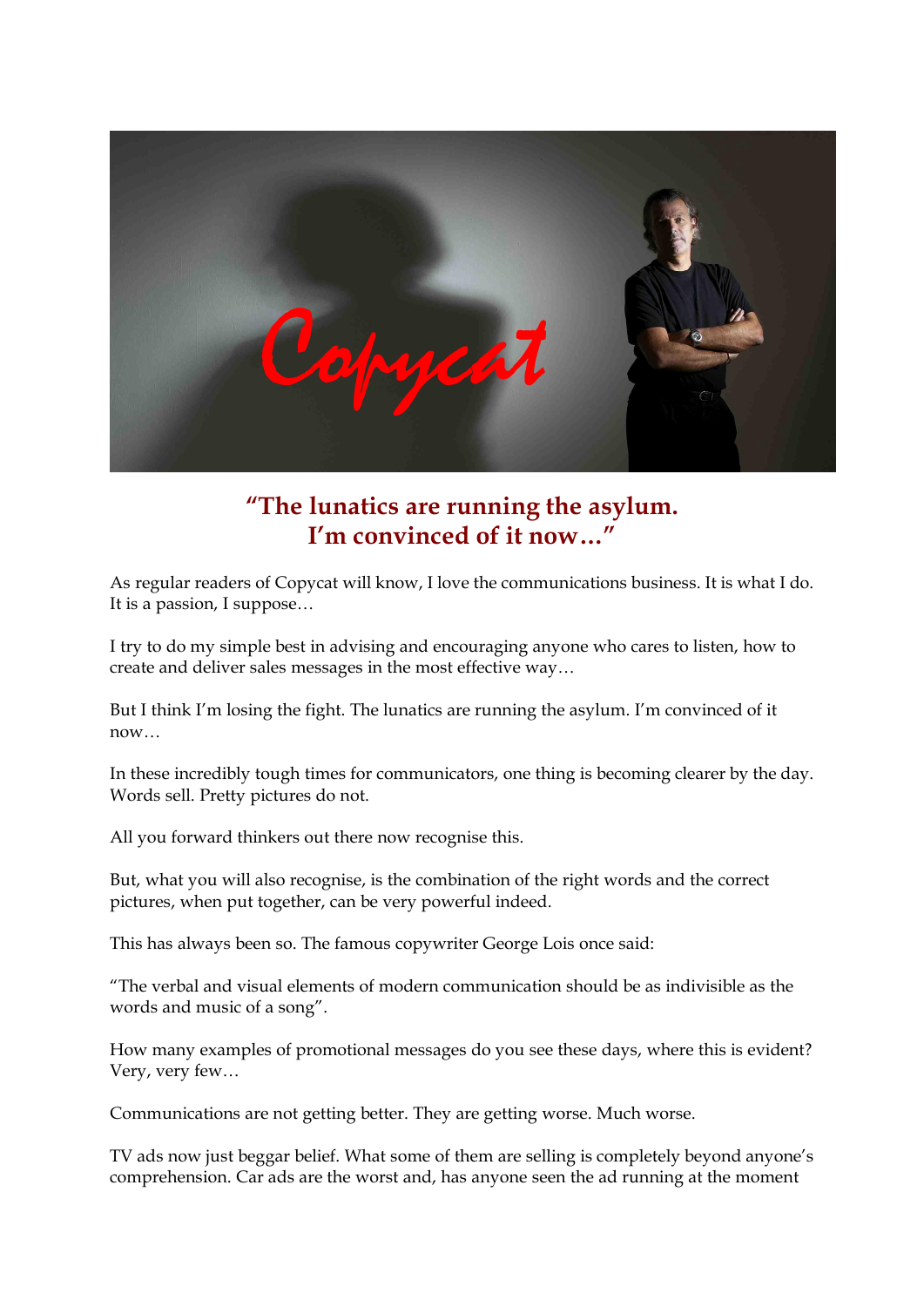

# **"The lunatics are running the asylum. I'm convinced of it now…"**

As regular readers of Copycat will know, I love the communications business. It is what I do. It is a passion, I suppose…

I try to do my simple best in advising and encouraging anyone who cares to listen, how to create and deliver sales messages in the most effective way…

But I think I'm losing the fight. The lunatics are running the asylum. I'm convinced of it now…

In these incredibly tough times for communicators, one thing is becoming clearer by the day. Words sell. Pretty pictures do not.

All you forward thinkers out there now recognise this.

But, what you will also recognise, is the combination of the right words and the correct pictures, when put together, can be very powerful indeed.

This has always been so. The famous copywriter George Lois once said:

"The verbal and visual elements of modern communication should be as indivisible as the words and music of a song".

How many examples of promotional messages do you see these days, where this is evident? Very, very few…

Communications are not getting better. They are getting worse. Much worse.

TV ads now just beggar belief. What some of them are selling is completely beyond anyone's comprehension. Car ads are the worst and, has anyone seen the ad running at the moment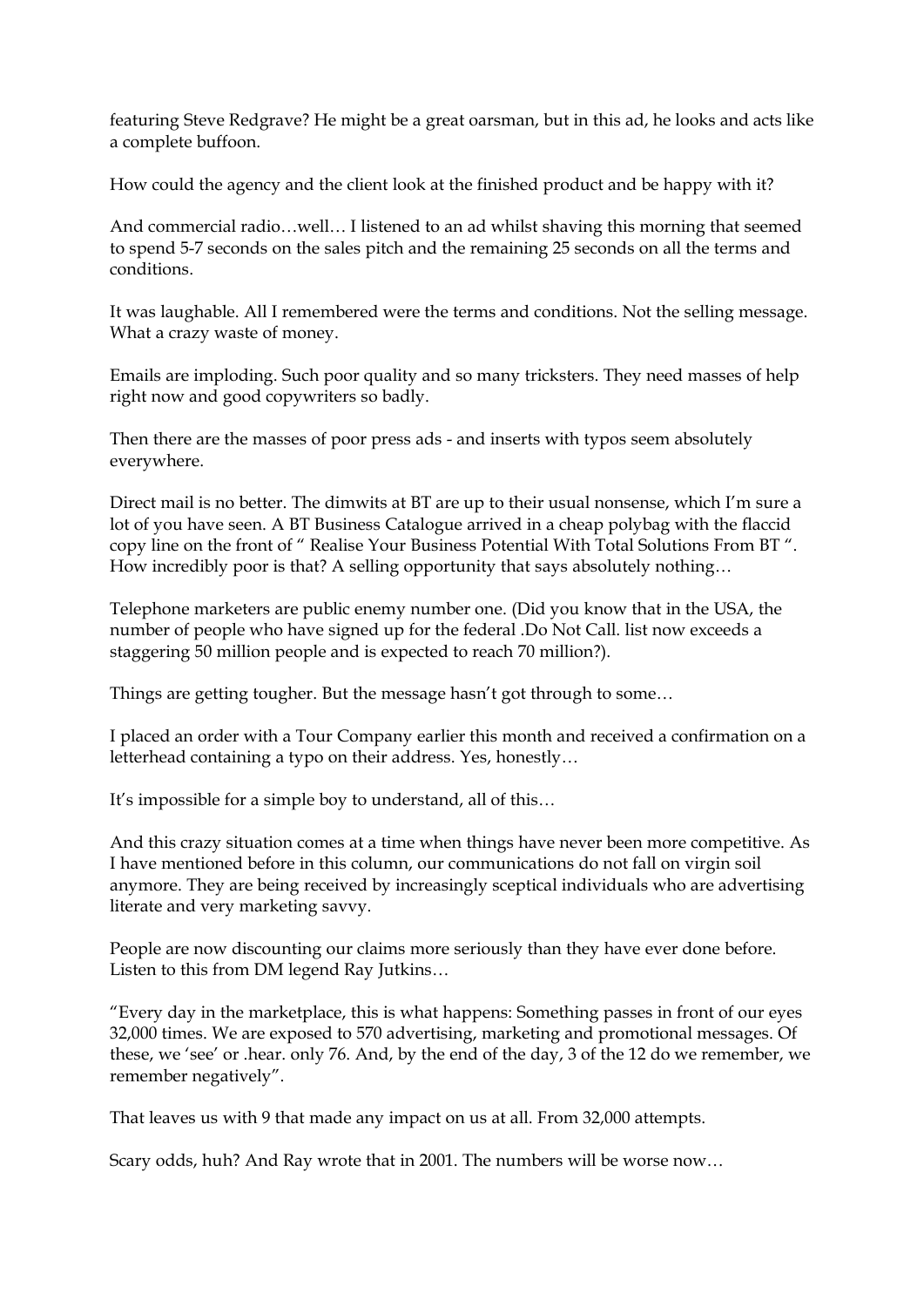featuring Steve Redgrave? He might be a great oarsman, but in this ad, he looks and acts like a complete buffoon.

How could the agency and the client look at the finished product and be happy with it?

And commercial radio…well… I listened to an ad whilst shaving this morning that seemed to spend 57 seconds on the sales pitch and the remaining 25 seconds on all the terms and conditions.

It was laughable. All I remembered were the terms and conditions. Not the selling message. What a crazy waste of money.

Emails are imploding. Such poor quality and so many tricksters. They need masses of help right now and good copywriters so badly.

Then there are the masses of poor press ads - and inserts with typos seem absolutely everywhere.

Direct mail is no better. The dimwits at BT are up to their usual nonsense, which I'm sure a lot of you have seen. A BT Business Catalogue arrived in a cheap polybag with the flaccid copy line on the front of " Realise Your Business Potential With Total Solutions From BT ". How incredibly poor is that? A selling opportunity that says absolutely nothing…

Telephone marketers are public enemy number one. (Did you know that in the USA, the number of people who have signed up for the federal .Do Not Call. list now exceeds a staggering 50 million people and is expected to reach 70 million?).

Things are getting tougher. But the message hasn't got through to some…

I placed an order with a Tour Company earlier this month and received a confirmation on a letterhead containing a typo on their address. Yes, honestly…

It's impossible for a simple boy to understand, all of this…

And this crazy situation comes at a time when things have never been more competitive. As I have mentioned before in this column, our communications do not fall on virgin soil anymore. They are being received by increasingly sceptical individuals who are advertising literate and very marketing savvy.

People are now discounting our claims more seriously than they have ever done before. Listen to this from DM legend Ray Jutkins…

"Every day in the marketplace, this is what happens: Something passes in front of our eyes 32,000 times. We are exposed to 570 advertising, marketing and promotional messages. Of these, we 'see' or .hear. only 76. And, by the end of the day, 3 of the 12 do we remember, we remember negatively".

That leaves us with 9 that made any impact on us at all. From 32,000 attempts.

Scary odds, huh? And Ray wrote that in 2001. The numbers will be worse now…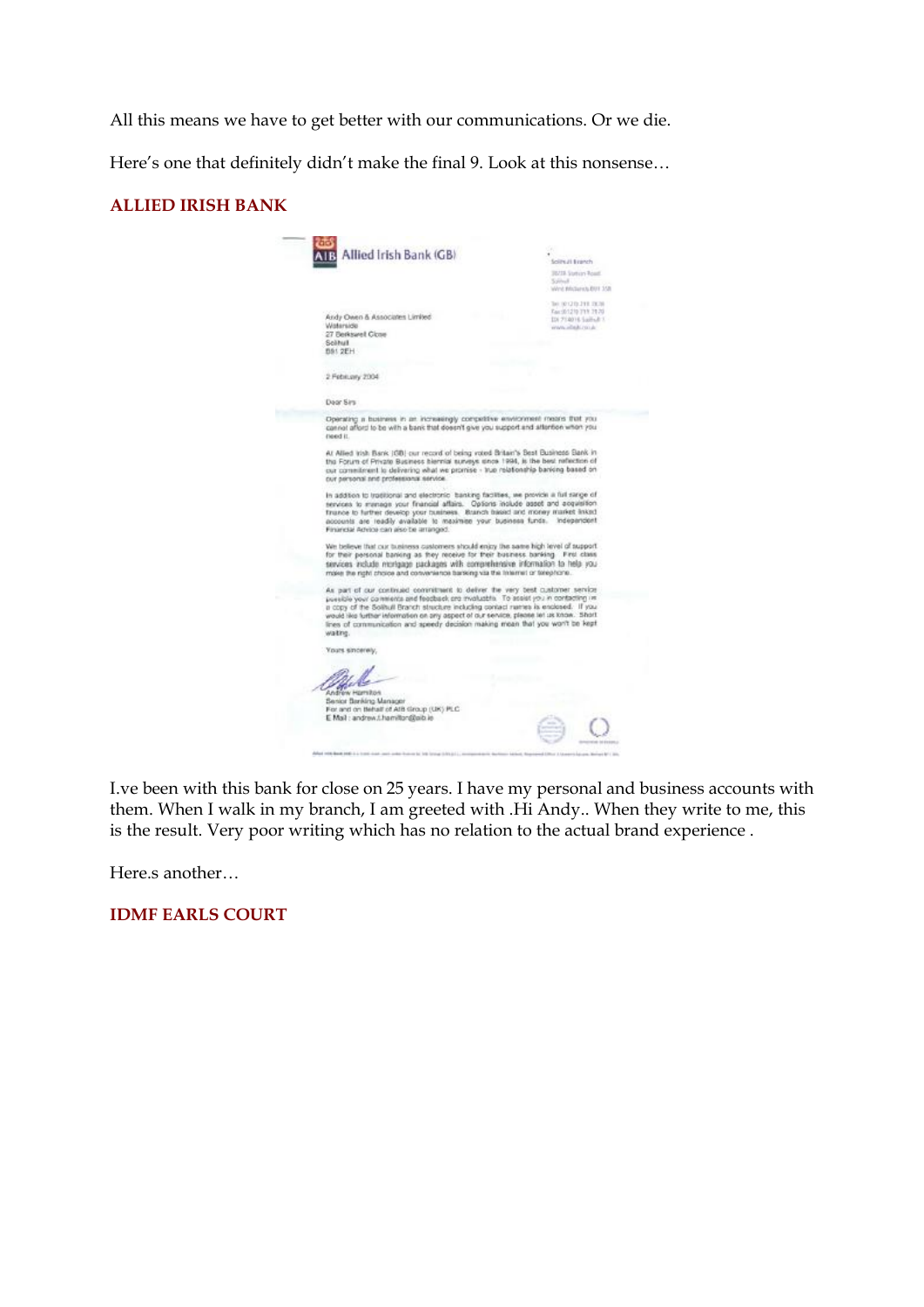All this means we have to get better with our communications. Or we die.

Here's one that definitely didn't make the final 9. Look at this nonsense…

#### **ALLIED IRISH BANK**

| Allied Irish Bank (GB)                                                                                                                                                                                                                                                                                                                                                                                                                            | Solitual Branch<br><b>J8718 Station Road</b><br>School -                                                              |
|---------------------------------------------------------------------------------------------------------------------------------------------------------------------------------------------------------------------------------------------------------------------------------------------------------------------------------------------------------------------------------------------------------------------------------------------------|-----------------------------------------------------------------------------------------------------------------------|
| Andy Owen & Associates Limited<br>Waterside<br>27 Berkswell Close<br>Solitual<br><b>DS1 2EH</b>                                                                                                                                                                                                                                                                                                                                                   | We'd 1980 decisions from<br>THE RELEASE OF THE<br>Fax: (6/1210 TRY 78.70)<br>Di 712016 Salfiab 1<br>dental data avera |
| 2 February 2004                                                                                                                                                                                                                                                                                                                                                                                                                                   |                                                                                                                       |
| Dear Sirs                                                                                                                                                                                                                                                                                                                                                                                                                                         |                                                                                                                       |
| Operating a business in an increasingly competitive environment means that you<br>cannot afford to be with a bank that doesn't give you support and attention when you<br>(leed it.                                                                                                                                                                                                                                                               |                                                                                                                       |
| At Allied Irish Bank (OB) cur record of being voted Britain's Best Business Bank in<br>the Forum of Private Business hiermal surveys since 1994, is the best reflection of<br>our commitment to delivering what we promise - true relationship banking based on<br>our personal and professional service.                                                                                                                                         |                                                                                                                       |
| In addition to traditional and electronic banking facilities, we provide a full sange of<br>services to mynage your financial affairs. Options include asset and acquisition.<br>finance to further develop your business. Branch based and money market inked<br>accounts are readily available to maximise your business funds. Independent<br>Financial Advice can also be arranged.                                                           |                                                                                                                       |
| We believe that our business customers should enjoy the same high level of support<br>for their personal banking as they receive for their business banking. First class<br>services include mortgage packages with comprehensive information to help you.<br>make the right choice and convenience barsing via the Internet or telephone.                                                                                                        |                                                                                                                       |
| As part of our continued commitment to deliver the very best customer service<br>possible your comments and feachack are mystuable. To assist you in contacting im-<br>a copy of the Solituil Branch structure including contact numes is enclosed. If you<br>would like further information on any aspect of our service, please let us know. Short<br>lines of communication and speedy decision making mean that you won't be kept<br>waiting. |                                                                                                                       |
| Yours sincerely,                                                                                                                                                                                                                                                                                                                                                                                                                                  |                                                                                                                       |
| Andrew Homiton<br>Benior Banking Manager<br>For and on Behalf of AIB Group (UK) PLC.                                                                                                                                                                                                                                                                                                                                                              |                                                                                                                       |

I.ve been with this bank for close on 25 years. I have my personal and business accounts with them. When I walk in my branch, I am greeted with .Hi Andy.. When they write to me, this is the result. Very poor writing which has no relation to the actual brand experience .

Here.s another…

**IDMF EARLS COURT**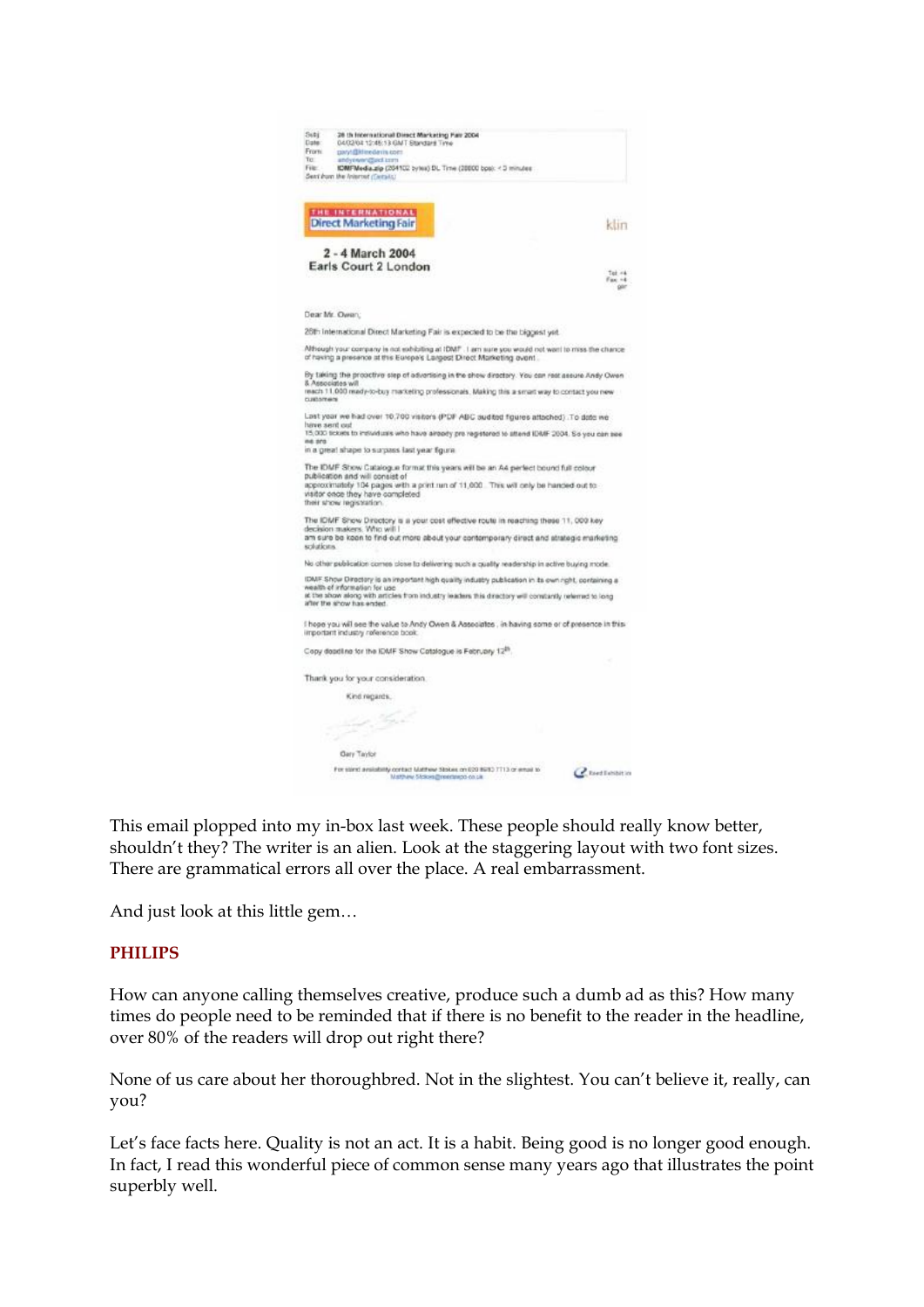| Subj.<br>26 th International Direct Marketing Pair 2004<br>Date:<br>04/02/04 12:45:13 GMT Standard Time<br>From:<br>paryt@klinedavis.com<br>Ter.<br>andyswer@acl.izm<br>File:<br>IDMFWedia.zip (204102 bytes) DL Time (20000 bps): < 3 minutes :<br>Sen't hum the folorout (Certain) |
|--------------------------------------------------------------------------------------------------------------------------------------------------------------------------------------------------------------------------------------------------------------------------------------|
|                                                                                                                                                                                                                                                                                      |
| THE INTERNATIONAL<br><b>Direct Marketing Fair</b><br>klin                                                                                                                                                                                                                            |
| 2 - 4 March 2004<br>Earls Court 2 London<br>Tel: $-4$                                                                                                                                                                                                                                |
| $F_{\text{BIC}}$ +4<br>ser                                                                                                                                                                                                                                                           |
| Dear Mr. Owen:                                                                                                                                                                                                                                                                       |
| 26th International Direct Marketing Fair is expected to be the biggest yet.                                                                                                                                                                                                          |
| Although your company is not subibiting at IDMF. I am sure you would not want to miss the chance<br>of having a presence at this Europe's Largest Direct Marketing event.                                                                                                            |
| By taking the prooctive step of advertising in the show directory. You can rest assure Andy Owen                                                                                                                                                                                     |
| 8. Associates will<br>reach 11,000 mady-to-buy marketing professionals. Making this a smart way to contact you new<br>customers                                                                                                                                                      |
| Last year we had over 10,700 visitors (PDF ABC audited figures attached). To date we                                                                                                                                                                                                 |
| have sent out<br>15,000 tickets to individuals who have already pre registered to attend IDMF 2004. So you can also                                                                                                                                                                  |
| ne ara<br>in a great shape to surpass last year figure.                                                                                                                                                                                                                              |
| The IDMF Show Catalogue format this years will be an A4 perfect bound full colour<br>publication and will consist of                                                                                                                                                                 |
| approximately 104 pages with a print run of 11,000. This will cely be handed out to<br>waitor once they have completed<br>their show registration.                                                                                                                                   |
| The IDMF Show Directory is a your cost effective route in reaching these 11, 000 key                                                                                                                                                                                                 |
| decision makers. Who will I<br>am sure be keen to find out more about your contemporary direct and strategic marketing<br>scéaticans.                                                                                                                                                |
| No other publication comes close to delivering such a quality readership in active buying mode.                                                                                                                                                                                      |
| IDMF Show Directory is an important high quality industry publication in its own right, containing a                                                                                                                                                                                 |
| wealth of information for use<br>at the show along with articles from industry leaders this directory will constantly referred to long<br>after the show has ended.                                                                                                                  |
| I hope you will see the value to Andy Owen & Associates , in having some or of presence in this<br>important industry reference book.                                                                                                                                                |
| Copy deadline for the IDMF Show Catalogue is February 12 <sup>89</sup> .                                                                                                                                                                                                             |
| Thank you for your consideration.                                                                                                                                                                                                                                                    |
| Kind regards.                                                                                                                                                                                                                                                                        |
| s.                                                                                                                                                                                                                                                                                   |
| تعتبي                                                                                                                                                                                                                                                                                |
| Gary Taylor                                                                                                                                                                                                                                                                          |
| For stand availability contact Matthew Stokes on 620 8983 7713 or email to<br>Chestlethtin<br>Matthew Slokes@reedwatch.co.uk                                                                                                                                                         |

This email plopped into my in-box last week. These people should really know better, shouldn't they? The writer is an alien. Look at the staggering layout with two font sizes. There are grammatical errors all over the place. A real embarrassment.

And just look at this little gem…

#### **PHILIPS**

How can anyone calling themselves creative, produce such a dumb ad as this? How many times do people need to be reminded that if there is no benefit to the reader in the headline, over 80% of the readers will drop out right there?

None of us care about her thoroughbred. Not in the slightest. You can't believe it, really, can you?

Let's face facts here. Quality is not an act. It is a habit. Being good is no longer good enough. In fact, I read this wonderful piece of common sense many years ago that illustrates the point superbly well.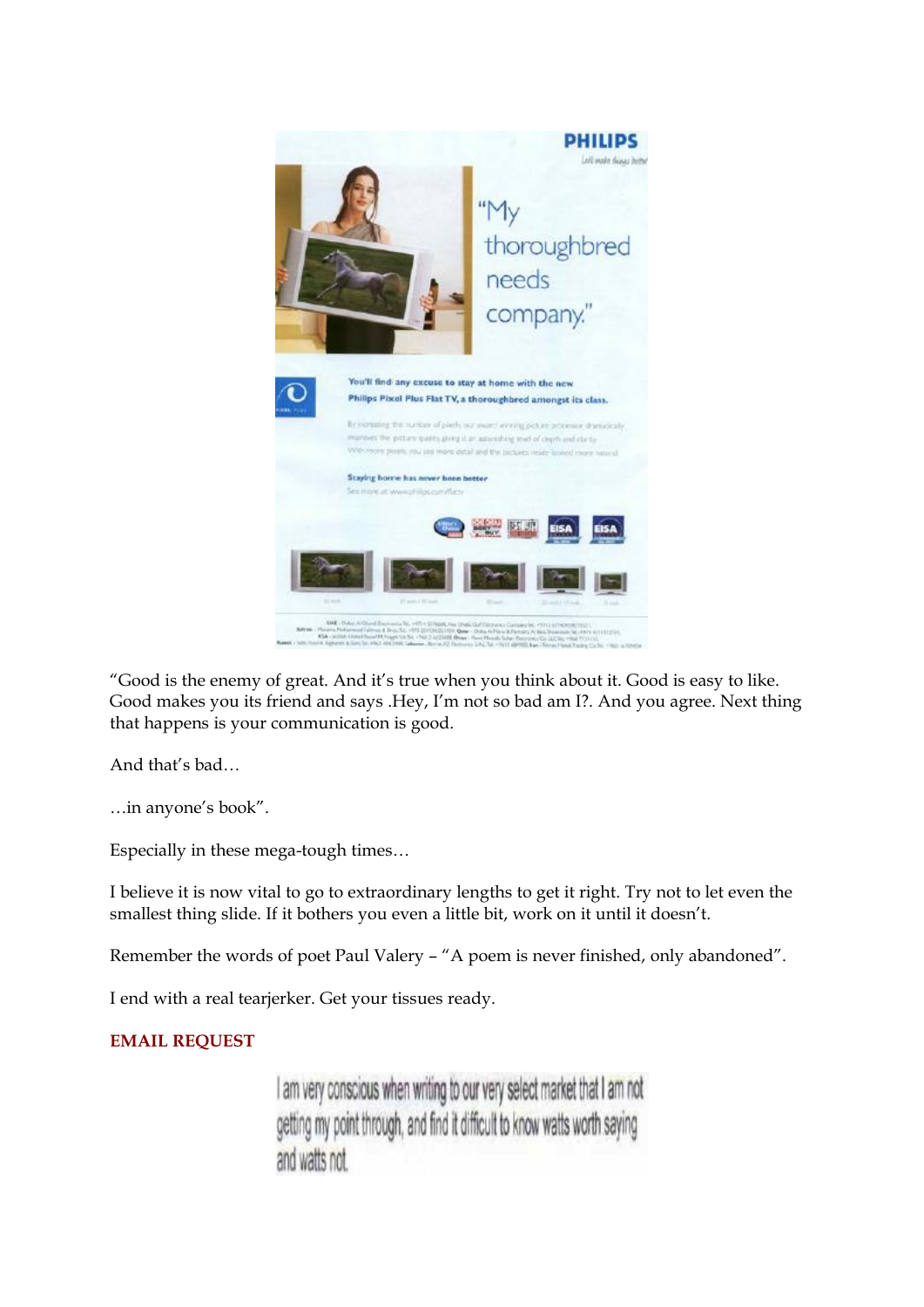

"Good is the enemy of great. And it's true when you think about it. Good is easy to like. Good makes you its friend and says .Hey, I'm not so bad am I?. And you agree. Next thing that happens is your communication is good.

And that's bad...<br>…in anyone's book".

Especially in these mega-tough times...

I believe it is now vital to go to extraordinary lengths to get it right. Try not to let even the smallest thing slide. If it bothers you even a little bit, work on it until it doesn't.

Remember the words of poet Paul Valery – "A poem is never finished, only abandoned".

I end with a real tearjerker. Get your tissues ready.

### **EMAIL REQUEST**

I am very conscious when writing to our very select market that I am not getting my point through, and find it difficult to know watts worth saying and watts not